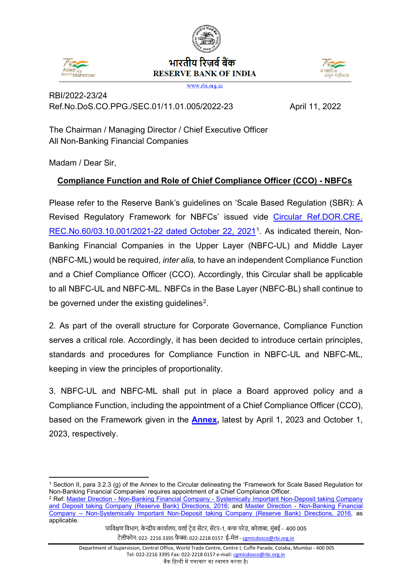

# भारतीय रिजर्व बैंक **RESERVE BANK OF INDIA**



www.rbi.org.in

# RBI/2022-23/24 Ref.No.DoS.CO.PPG./SEC.01/11.01.005/2022-23 April 11, 2022

The Chairman / Managing Director / Chief Executive Officer All Non-Banking Financial Companies

Madam / Dear Sir,

# **Compliance Function and Role of Chief Compliance Officer (CCO) - NBFCs**

Please refer to the Reserve Bank's guidelines on 'Scale Based Regulation (SBR): A Revised Regulatory Framework for NBFCs' issued vide [Circular Ref.DOR.CRE.](https://www.rbi.org.in/Scripts/NotificationUser.aspx?Id=12179&Mode=0) [REC.No.60/03.10.001/2021-22 dated October 22, 2021](https://www.rbi.org.in/Scripts/NotificationUser.aspx?Id=12179&Mode=0)[1.](#page-0-0) As indicated therein, Non-Banking Financial Companies in the Upper Layer (NBFC-UL) and Middle Layer (NBFC-ML) would be required, *inter alia,* to have an independent Compliance Function and a Chief Compliance Officer (CCO). Accordingly, this Circular shall be applicable to all NBFC-UL and NBFC-ML. NBFCs in the Base Layer (NBFC-BL) shall continue to be governed under the existing quidelines<sup>[2](#page-0-1)</sup>.

2. As part of the overall structure for Corporate Governance, Compliance Function serves a critical role. Accordingly, it has been decided to introduce certain principles, standards and procedures for Compliance Function in NBFC-UL and NBFC-ML, keeping in view the principles of proportionality.

3. NBFC-UL and NBFC-ML shall put in place a Board approved policy and a Compliance Function, including the appointment of a Chief Compliance Officer (CCO), based on the Framework given in the **[Annex,](#page-2-0)** latest by April 1, 2023 and October 1, 2023, respectively.

<span id="page-0-0"></span> $\overline{a}$ <sup>1</sup> Section II, para 3.2.3 (g) of the Annex to the Circular delineating the 'Framework for Scale Based Regulation for Non-Banking Financial Companies' requires appointment of a Chief Compliance Officer.

<span id="page-0-1"></span><sup>2</sup> Ref: [Master Direction - Non-Banking Financial Company - Systemically Important Non-Deposit taking Company](https://www.rbi.org.in/Scripts/BS_ViewMasDirections.aspx?id=10586)  [and Deposit taking Company \(Reserve Bank\) Directions, 2016;](https://www.rbi.org.in/Scripts/BS_ViewMasDirections.aspx?id=10586) and [Master Direction - Non-Banking Financial](https://www.rbi.org.in/Scripts/BS_ViewMasDirections.aspx?id=10585)  [Company – Non-Systemically Important Non-Deposit taking Company \(Reserve Bank\) Directions, 2016,](https://www.rbi.org.in/Scripts/BS_ViewMasDirections.aspx?id=10585) as applicable.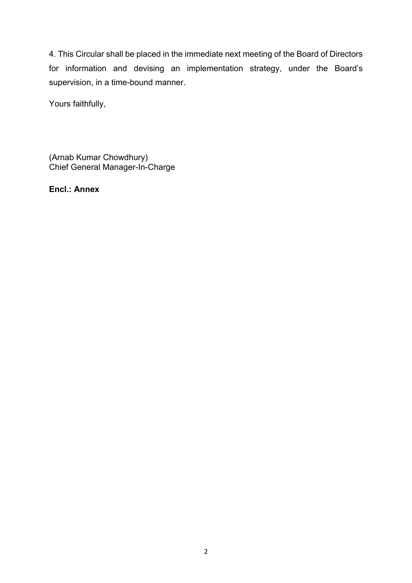4. This Circular shall be placed in the immediate next meeting of the Board of Directors for information and devising an implementation strategy, under the Board's supervision, in a time-bound manner.

Yours faithfully,

(Arnab Kumar Chowdhury) Chief General Manager-In-Charge

**Encl.: Annex**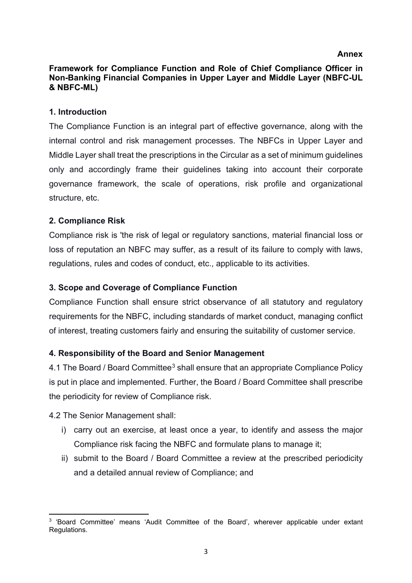#### **Annex**

#### <span id="page-2-0"></span>**Framework for Compliance Function and Role of Chief Compliance Officer in Non-Banking Financial Companies in Upper Layer and Middle Layer (NBFC-UL & NBFC-ML)**

#### **1. Introduction**

The Compliance Function is an integral part of effective governance, along with the internal control and risk management processes. The NBFCs in Upper Layer and Middle Layer shall treat the prescriptions in the Circular as a set of minimum guidelines only and accordingly frame their guidelines taking into account their corporate governance framework, the scale of operations, risk profile and organizational structure, etc.

#### **2. Compliance Risk**

Compliance risk is 'the risk of legal or regulatory sanctions, material financial loss or loss of reputation an NBFC may suffer, as a result of its failure to comply with laws, regulations, rules and codes of conduct, etc., applicable to its activities.

#### **3. Scope and Coverage of Compliance Function**

Compliance Function shall ensure strict observance of all statutory and regulatory requirements for the NBFC, including standards of market conduct, managing conflict of interest, treating customers fairly and ensuring the suitability of customer service.

#### **4. Responsibility of the Board and Senior Management**

4.1 The Board / Board Committee<sup>[3](#page-2-1)</sup> shall ensure that an appropriate Compliance Policy is put in place and implemented. Further, the Board / Board Committee shall prescribe the periodicity for review of Compliance risk.

#### 4.2 The Senior Management shall:

- i) carry out an exercise, at least once a year, to identify and assess the major Compliance risk facing the NBFC and formulate plans to manage it;
- ii) submit to the Board / Board Committee a review at the prescribed periodicity and a detailed annual review of Compliance; and

<span id="page-2-1"></span>**<sup>.</sup>** <sup>3</sup> 'Board Committee' means 'Audit Committee of the Board', wherever applicable under extant Regulations.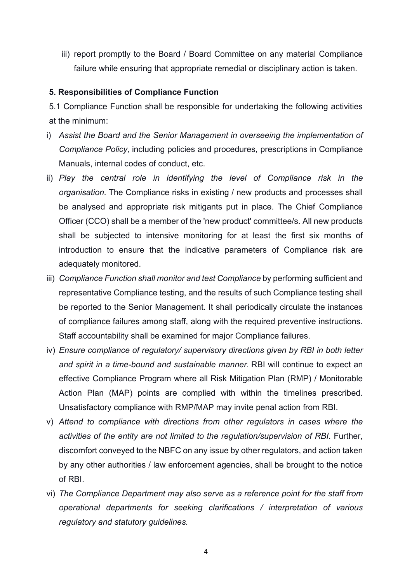iii) report promptly to the Board / Board Committee on any material Compliance failure while ensuring that appropriate remedial or disciplinary action is taken.

#### **5. Responsibilities of Compliance Function**

5.1 Compliance Function shall be responsible for undertaking the following activities at the minimum:

- i) *Assist the Board and the Senior Management in overseeing the implementation of Compliance Policy,* including policies and procedures, prescriptions in Compliance Manuals, internal codes of conduct, etc.
- ii) Play the central role in identifying the level of Compliance risk in the *organisation.* The Compliance risks in existing / new products and processes shall be analysed and appropriate risk mitigants put in place. The Chief Compliance Officer (CCO) shall be a member of the 'new product' committee/s. All new products shall be subjected to intensive monitoring for at least the first six months of introduction to ensure that the indicative parameters of Compliance risk are adequately monitored.
- iii) *Compliance Function shall monitor and test Compliance* by performing sufficient and representative Compliance testing, and the results of such Compliance testing shall be reported to the Senior Management. It shall periodically circulate the instances of compliance failures among staff, along with the required preventive instructions. Staff accountability shall be examined for major Compliance failures.
- iv) *Ensure compliance of regulatory/ supervisory directions given by RBI in both letter and spirit in a time-bound and sustainable manner.* RBI will continue to expect an effective Compliance Program where all Risk Mitigation Plan (RMP) / Monitorable Action Plan (MAP) points are complied with within the timelines prescribed. Unsatisfactory compliance with RMP/MAP may invite penal action from RBI.
- v) *Attend to compliance with directions from other regulators in cases where the activities of the entity are not limited to the regulation/supervision of RBI*. Further, discomfort conveyed to the NBFC on any issue by other regulators, and action taken by any other authorities / law enforcement agencies, shall be brought to the notice of RBI.
- vi) *The Compliance Department may also serve as a reference point for the staff from operational departments for seeking clarifications / interpretation of various regulatory and statutory guidelines.*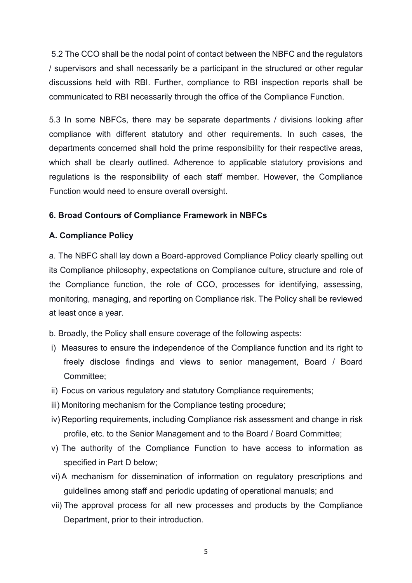5.2 The CCO shall be the nodal point of contact between the NBFC and the regulators / supervisors and shall necessarily be a participant in the structured or other regular discussions held with RBI. Further, compliance to RBI inspection reports shall be communicated to RBI necessarily through the office of the Compliance Function.

5.3 In some NBFCs, there may be separate departments / divisions looking after compliance with different statutory and other requirements. In such cases, the departments concerned shall hold the prime responsibility for their respective areas, which shall be clearly outlined. Adherence to applicable statutory provisions and regulations is the responsibility of each staff member. However, the Compliance Function would need to ensure overall oversight.

#### **6. Broad Contours of Compliance Framework in NBFCs**

#### **A. Compliance Policy**

a. The NBFC shall lay down a Board-approved Compliance Policy clearly spelling out its Compliance philosophy, expectations on Compliance culture, structure and role of the Compliance function, the role of CCO, processes for identifying, assessing, monitoring, managing, and reporting on Compliance risk. The Policy shall be reviewed at least once a year.

b. Broadly, the Policy shall ensure coverage of the following aspects:

- i) Measures to ensure the independence of the Compliance function and its right to freely disclose findings and views to senior management, Board / Board Committee;
- ii) Focus on various regulatory and statutory Compliance requirements;
- iii) Monitoring mechanism for the Compliance testing procedure;
- iv) Reporting requirements, including Compliance risk assessment and change in risk profile, etc. to the Senior Management and to the Board / Board Committee;
- v) The authority of the Compliance Function to have access to information as specified in Part D below;
- vi) A mechanism for dissemination of information on regulatory prescriptions and guidelines among staff and periodic updating of operational manuals; and
- vii) The approval process for all new processes and products by the Compliance Department, prior to their introduction.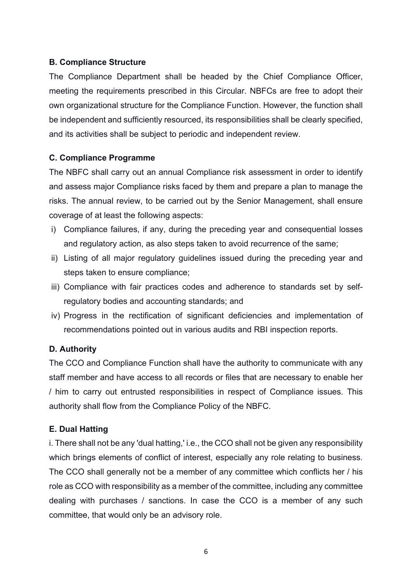#### **B. Compliance Structure**

The Compliance Department shall be headed by the Chief Compliance Officer, meeting the requirements prescribed in this Circular. NBFCs are free to adopt their own organizational structure for the Compliance Function. However, the function shall be independent and sufficiently resourced, its responsibilities shall be clearly specified, and its activities shall be subject to periodic and independent review.

#### **C. Compliance Programme**

The NBFC shall carry out an annual Compliance risk assessment in order to identify and assess major Compliance risks faced by them and prepare a plan to manage the risks. The annual review, to be carried out by the Senior Management, shall ensure coverage of at least the following aspects:

- i) Compliance failures, if any, during the preceding year and consequential losses and regulatory action, as also steps taken to avoid recurrence of the same;
- ii) Listing of all major regulatory guidelines issued during the preceding year and steps taken to ensure compliance;
- iii) Compliance with fair practices codes and adherence to standards set by selfregulatory bodies and accounting standards; and
- iv) Progress in the rectification of significant deficiencies and implementation of recommendations pointed out in various audits and RBI inspection reports.

#### **D. Authority**

The CCO and Compliance Function shall have the authority to communicate with any staff member and have access to all records or files that are necessary to enable her / him to carry out entrusted responsibilities in respect of Compliance issues. This authority shall flow from the Compliance Policy of the NBFC.

#### **E. Dual Hatting**

i. There shall not be any 'dual hatting,' i.e., the CCO shall not be given any responsibility which brings elements of conflict of interest, especially any role relating to business. The CCO shall generally not be a member of any committee which conflicts her / his role as CCO with responsibility as a member of the committee, including any committee dealing with purchases / sanctions. In case the CCO is a member of any such committee, that would only be an advisory role.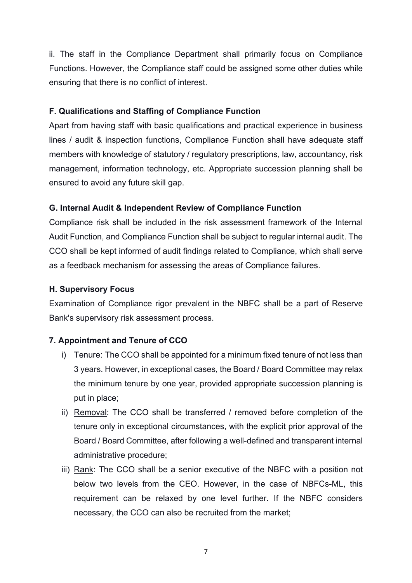ii. The staff in the Compliance Department shall primarily focus on Compliance Functions. However, the Compliance staff could be assigned some other duties while ensuring that there is no conflict of interest.

## **F. Qualifications and Staffing of Compliance Function**

Apart from having staff with basic qualifications and practical experience in business lines / audit & inspection functions, Compliance Function shall have adequate staff members with knowledge of statutory / regulatory prescriptions, law, accountancy, risk management, information technology, etc. Appropriate succession planning shall be ensured to avoid any future skill gap.

# **G. Internal Audit & Independent Review of Compliance Function**

Compliance risk shall be included in the risk assessment framework of the Internal Audit Function, and Compliance Function shall be subject to regular internal audit. The CCO shall be kept informed of audit findings related to Compliance, which shall serve as a feedback mechanism for assessing the areas of Compliance failures.

## **H. Supervisory Focus**

Examination of Compliance rigor prevalent in the NBFC shall be a part of Reserve Bank's supervisory risk assessment process.

# **7. Appointment and Tenure of CCO**

- i) Tenure: The CCO shall be appointed for a minimum fixed tenure of not less than 3 years. However, in exceptional cases, the Board / Board Committee may relax the minimum tenure by one year, provided appropriate succession planning is put in place;
- ii) Removal: The CCO shall be transferred / removed before completion of the tenure only in exceptional circumstances, with the explicit prior approval of the Board / Board Committee, after following a well-defined and transparent internal administrative procedure;
- iii) Rank: The CCO shall be a senior executive of the NBFC with a position not below two levels from the CEO. However, in the case of NBFCs-ML, this requirement can be relaxed by one level further. If the NBFC considers necessary, the CCO can also be recruited from the market;